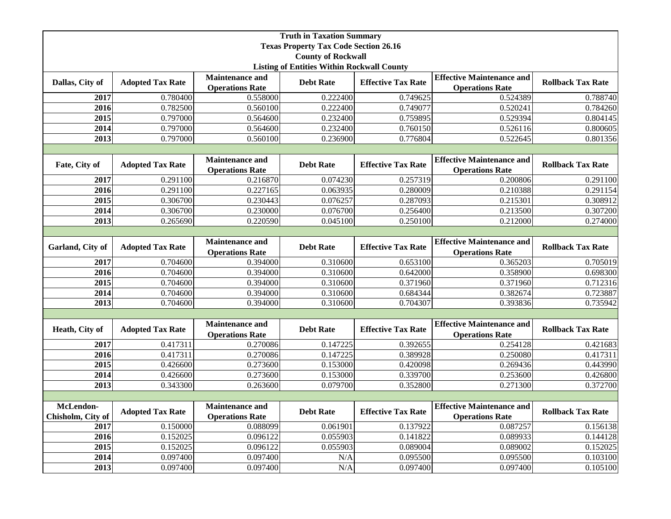| <b>Truth in Taxation Summary</b>                  |                         |                                                  |                  |                           |                                                            |                          |  |  |
|---------------------------------------------------|-------------------------|--------------------------------------------------|------------------|---------------------------|------------------------------------------------------------|--------------------------|--|--|
| <b>Texas Property Tax Code Section 26.16</b>      |                         |                                                  |                  |                           |                                                            |                          |  |  |
| <b>County of Rockwall</b>                         |                         |                                                  |                  |                           |                                                            |                          |  |  |
| <b>Listing of Entities Within Rockwall County</b> |                         |                                                  |                  |                           |                                                            |                          |  |  |
| Dallas, City of                                   | <b>Adopted Tax Rate</b> | <b>Maintenance and</b><br><b>Operations Rate</b> | <b>Debt Rate</b> | <b>Effective Tax Rate</b> | <b>Effective Maintenance and</b><br><b>Operations Rate</b> | <b>Rollback Tax Rate</b> |  |  |
| 2017                                              | 0.780400                | 0.558000                                         | 0.222400         | 0.749625                  | 0.524389                                                   | 0.788740                 |  |  |
| 2016                                              | 0.782500                | 0.560100                                         | 0.222400         | 0.749077                  | 0.520241                                                   | 0.784260                 |  |  |
| 2015                                              | 0.797000                | 0.564600                                         | 0.232400         | 0.759895                  | 0.529394                                                   | 0.804145                 |  |  |
| 2014                                              | 0.797000                | 0.564600                                         | 0.232400         | 0.760150                  | 0.526116                                                   | 0.800605                 |  |  |
| 2013                                              | 0.797000                | 0.560100                                         | 0.236900         | 0.776804                  | 0.522645                                                   | 0.801356                 |  |  |
|                                                   |                         |                                                  |                  |                           |                                                            |                          |  |  |
| Fate, City of                                     | <b>Adopted Tax Rate</b> | <b>Maintenance and</b><br><b>Operations Rate</b> | <b>Debt Rate</b> | <b>Effective Tax Rate</b> | <b>Effective Maintenance and</b><br><b>Operations Rate</b> | <b>Rollback Tax Rate</b> |  |  |
| 2017                                              | 0.291100                | 0.216870                                         | 0.074230         | 0.257319                  | 0.200806                                                   | 0.291100                 |  |  |
| 2016                                              | 0.291100                | 0.227165                                         | 0.063935         | 0.280009                  | 0.210388                                                   | 0.291154                 |  |  |
| 2015                                              | 0.306700                | 0.230443                                         | 0.076257         | 0.287093                  | 0.215301                                                   | 0.308912                 |  |  |
| 2014                                              | 0.306700                | 0.230000                                         | 0.076700         | 0.256400                  | 0.213500                                                   | 0.307200                 |  |  |
| 2013                                              | 0.265690                | 0.220590                                         | 0.045100         | 0.250100                  | 0.212000                                                   | 0.274000                 |  |  |
|                                                   |                         |                                                  |                  |                           |                                                            |                          |  |  |
| Garland, City of                                  | <b>Adopted Tax Rate</b> | <b>Maintenance and</b><br><b>Operations Rate</b> | <b>Debt Rate</b> | <b>Effective Tax Rate</b> | <b>Effective Maintenance and</b><br><b>Operations Rate</b> | <b>Rollback Tax Rate</b> |  |  |
| 2017                                              | 0.704600                | 0.394000                                         | 0.310600         | 0.653100                  | 0.365203                                                   | 0.705019                 |  |  |
| 2016                                              | 0.704600                | 0.394000                                         | 0.310600         | 0.642000                  | 0.358900                                                   | 0.698300                 |  |  |
| 2015                                              | 0.704600                | 0.394000                                         | 0.310600         | 0.371960                  | 0.371960                                                   | 0.712316                 |  |  |
| 2014                                              | 0.704600                | 0.394000                                         | 0.310600         | 0.684344                  | 0.382674                                                   | 0.723887                 |  |  |
| 2013                                              | 0.704600                | 0.394000                                         | 0.310600         | 0.704307                  | 0.393836                                                   | 0.735942                 |  |  |
|                                                   |                         |                                                  |                  |                           |                                                            |                          |  |  |
| Heath, City of                                    | <b>Adopted Tax Rate</b> | <b>Maintenance and</b><br><b>Operations Rate</b> | <b>Debt Rate</b> | <b>Effective Tax Rate</b> | <b>Effective Maintenance and</b><br><b>Operations Rate</b> | <b>Rollback Tax Rate</b> |  |  |
| 2017                                              | 0.417311                | 0.270086                                         | 0.147225         | 0.392655                  | 0.254128                                                   | 0.421683                 |  |  |
| 2016                                              | 0.417311                | 0.270086                                         | 0.147225         | 0.389928                  | 0.250080                                                   | 0.417311                 |  |  |
| 2015                                              | 0.426600                | 0.273600                                         | 0.153000         | 0.420098                  | 0.269436                                                   | 0.443990                 |  |  |
| 2014                                              | 0.426600                | 0.273600                                         | 0.153000         | 0.339700                  | 0.253600                                                   | 0.426800                 |  |  |
| 2013                                              | 0.343300                | 0.263600                                         | 0.079700         | 0.352800                  | 0.271300                                                   | 0.372700                 |  |  |
|                                                   |                         |                                                  |                  |                           |                                                            |                          |  |  |
| McLendon-<br>Chisholm, City of                    | <b>Adopted Tax Rate</b> | <b>Maintenance and</b><br><b>Operations Rate</b> | <b>Debt Rate</b> | <b>Effective Tax Rate</b> | <b>Effective Maintenance and</b><br><b>Operations Rate</b> | <b>Rollback Tax Rate</b> |  |  |
| 2017                                              | 0.150000                | 0.088099                                         | 0.061901         | 0.137922                  | 0.087257                                                   | 0.156138                 |  |  |
| 2016                                              | 0.152025                | 0.096122                                         | 0.055903         | 0.141822                  | 0.089933                                                   | 0.144128                 |  |  |
| 2015                                              | 0.152025                | 0.096122                                         | 0.055903         | 0.089004                  | 0.089002                                                   | 0.152025                 |  |  |
| 2014                                              | 0.097400                | 0.097400                                         | N/A              | 0.095500                  | 0.095500                                                   | 0.103100                 |  |  |
| 2013                                              | 0.097400                | 0.097400                                         | N/A              | 0.097400                  | 0.097400                                                   | 0.105100                 |  |  |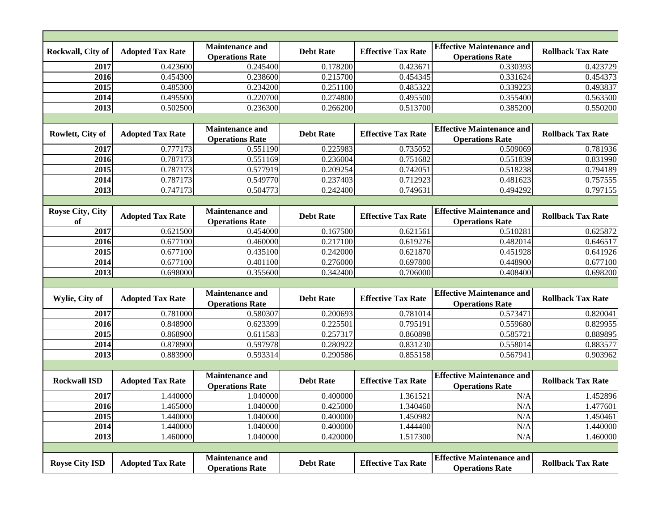| Rockwall, City of             | <b>Adopted Tax Rate</b> | <b>Maintenance and</b><br><b>Operations Rate</b> | <b>Debt Rate</b> | <b>Effective Tax Rate</b> | <b>Effective Maintenance and</b><br><b>Operations Rate</b> | <b>Rollback Tax Rate</b> |  |  |  |
|-------------------------------|-------------------------|--------------------------------------------------|------------------|---------------------------|------------------------------------------------------------|--------------------------|--|--|--|
| 2017                          | 0.423600                | 0.245400                                         | 0.178200         | 0.423671                  | 0.330393                                                   | 0.423729                 |  |  |  |
| 2016                          | 0.454300                | 0.238600                                         | 0.215700         | 0.454345                  | 0.331624                                                   | 0.454373                 |  |  |  |
| 2015                          | 0.485300                | 0.234200                                         | 0.251100         | 0.485322                  | 0.339223                                                   | 0.493837                 |  |  |  |
| 2014                          | 0.495500                | 0.220700                                         | 0.274800         | 0.495500                  | 0.355400                                                   | 0.563500                 |  |  |  |
| 2013                          | 0.502500                | 0.236300                                         | 0.266200         | 0.513700                  | 0.385200                                                   | 0.550200                 |  |  |  |
|                               |                         |                                                  |                  |                           |                                                            |                          |  |  |  |
| Rowlett, City of              | <b>Adopted Tax Rate</b> | <b>Maintenance and</b><br><b>Operations Rate</b> | <b>Debt Rate</b> | <b>Effective Tax Rate</b> | <b>Effective Maintenance and</b><br><b>Operations Rate</b> | <b>Rollback Tax Rate</b> |  |  |  |
| 2017                          | 0.777173                | 0.551190                                         | 0.225983         | 0.735052                  | 0.509069                                                   | 0.781936                 |  |  |  |
| 2016                          | 0.787173                | 0.551169                                         | 0.236004         | 0.751682                  | 0.551839                                                   | 0.831990                 |  |  |  |
| 2015                          | 0.787173                | 0.577919                                         | 0.209254         | 0.742051                  | 0.518238                                                   | 0.794189                 |  |  |  |
| 2014                          | 0.787173                | 0.549770                                         | 0.237403         | 0.712923                  | 0.481623                                                   | 0.757555                 |  |  |  |
| 2013                          | 0.747173                | 0.504773                                         | 0.242400         | 0.749631                  | 0.494292                                                   | 0.797155                 |  |  |  |
|                               |                         |                                                  |                  |                           |                                                            |                          |  |  |  |
| <b>Royse City, City</b><br>of | <b>Adopted Tax Rate</b> | <b>Maintenance and</b><br><b>Operations Rate</b> | <b>Debt Rate</b> | <b>Effective Tax Rate</b> | <b>Effective Maintenance and</b><br><b>Operations Rate</b> | <b>Rollback Tax Rate</b> |  |  |  |
| 2017                          | 0.621500                | 0.454000                                         | 0.167500         | 0.621561                  | 0.510281                                                   | 0.625872                 |  |  |  |
| 2016                          | 0.677100                | 0.460000                                         | 0.217100         | 0.619276                  | 0.482014                                                   | 0.646517                 |  |  |  |
| 2015                          | 0.677100                | 0.435100                                         | 0.242000         | 0.621870                  | 0.451928                                                   | 0.641926                 |  |  |  |
| 2014                          | 0.677100                | 0.401100                                         | 0.276000         | 0.697800                  | 0.448900                                                   | 0.677100                 |  |  |  |
| 2013                          | 0.698000                | 0.355600                                         | 0.342400         | 0.706000                  | 0.408400                                                   | 0.698200                 |  |  |  |
|                               |                         |                                                  |                  |                           |                                                            |                          |  |  |  |
| Wylie, City of                | <b>Adopted Tax Rate</b> | <b>Maintenance and</b><br><b>Operations Rate</b> | <b>Debt Rate</b> | <b>Effective Tax Rate</b> | <b>Effective Maintenance and</b><br><b>Operations Rate</b> | <b>Rollback Tax Rate</b> |  |  |  |
| 2017                          | 0.781000                | 0.580307                                         | 0.200693         | 0.781014                  | 0.573471                                                   | 0.820041                 |  |  |  |
| 2016                          | 0.848900                | 0.623399                                         | 0.225501         | 0.795191                  | 0.559680                                                   | 0.829955                 |  |  |  |
| 2015                          | 0.868900                | 0.611583                                         | 0.257317         | 0.860898                  | 0.585721                                                   | 0.889895                 |  |  |  |
| 2014                          | 0.878900                | 0.597978                                         | 0.280922         | 0.831230                  | 0.558014                                                   | 0.883577                 |  |  |  |
| 2013                          | 0.883900                | 0.593314                                         | 0.290586         | 0.855158                  | 0.567941                                                   | 0.903962                 |  |  |  |
|                               |                         |                                                  |                  |                           |                                                            |                          |  |  |  |
| <b>Rockwall ISD</b>           | <b>Adopted Tax Rate</b> | <b>Maintenance and</b><br><b>Operations Rate</b> | <b>Debt Rate</b> | <b>Effective Tax Rate</b> | <b>Effective Maintenance and</b><br><b>Operations Rate</b> | <b>Rollback Tax Rate</b> |  |  |  |
| 2017                          | 1.440000                | 1.040000                                         | 0.400000         | 1.361521                  | N/A                                                        | 1.452896                 |  |  |  |
| 2016                          | 1.465000                | 1.040000                                         | 0.425000         | 1.340460                  | N/A                                                        | 1.477601                 |  |  |  |
| 2015                          | 1.440000                | 1.040000                                         | 0.400000         | 1.450982                  | N/A                                                        | 1.450461                 |  |  |  |
| 2014                          | 1.440000                | 1.040000                                         | 0.400000         | 1.444400                  | N/A                                                        | 1.440000                 |  |  |  |
| 2013                          | 1.460000                | 1.040000                                         | 0.420000         | 1.517300                  | N/A                                                        | 1.460000                 |  |  |  |
|                               |                         |                                                  |                  |                           |                                                            |                          |  |  |  |
| <b>Royse City ISD</b>         | <b>Adopted Tax Rate</b> | <b>Maintenance and</b><br><b>Operations Rate</b> | <b>Debt Rate</b> | <b>Effective Tax Rate</b> | <b>Effective Maintenance and</b><br><b>Operations Rate</b> | <b>Rollback Tax Rate</b> |  |  |  |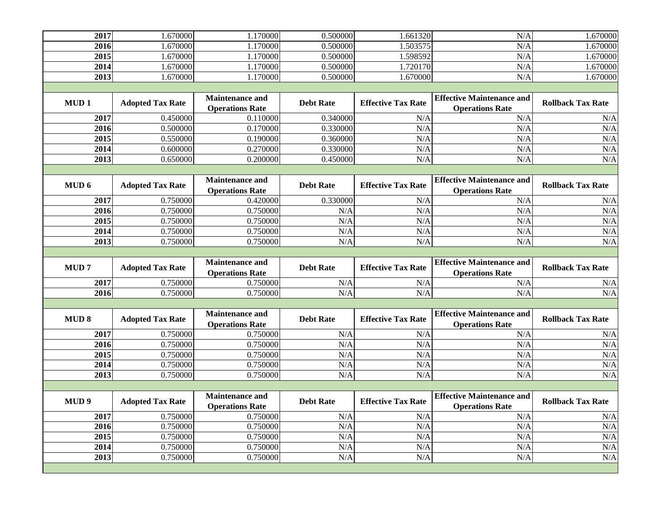| 2017              | 1.670000                | 1.170000                                         | 0.500000         | 1.661320                  | N/A                                                        | 1.670000                 |  |  |
|-------------------|-------------------------|--------------------------------------------------|------------------|---------------------------|------------------------------------------------------------|--------------------------|--|--|
| 2016              | 1.670000                | 1.170000                                         | 0.500000         | 1.503575                  | N/A                                                        | 1.670000                 |  |  |
| 2015              | 1.670000                | 1.170000                                         | 0.500000         | 1.598592                  | N/A                                                        | 1.670000                 |  |  |
| 2014              | 1.670000                | 1.170000                                         | 0.500000         | 1.720170                  | N/A                                                        | 1.670000                 |  |  |
| 2013              | 1.670000                | 1.170000                                         | 0.500000         | 1.670000                  | N/A                                                        | 1.670000                 |  |  |
|                   |                         |                                                  |                  |                           |                                                            |                          |  |  |
| MUD <sub>1</sub>  | <b>Adopted Tax Rate</b> | <b>Maintenance and</b><br><b>Operations Rate</b> | <b>Debt Rate</b> | <b>Effective Tax Rate</b> | <b>Effective Maintenance and</b><br><b>Operations Rate</b> | <b>Rollback Tax Rate</b> |  |  |
| 2017              | 0.450000                | 0.110000                                         | 0.340000         | N/A                       | N/A                                                        | N/A                      |  |  |
| 2016              | 0.500000                | 0.170000                                         | 0.330000         | N/A                       | N/A                                                        | N/A                      |  |  |
| 2015              | 0.550000                | 0.190000                                         | 0.360000         | N/A                       | N/A                                                        | N/A                      |  |  |
| 2014              | 0.600000                | 0.270000                                         | 0.330000         | N/A                       | N/A                                                        | N/A                      |  |  |
| 2013              | 0.650000                | 0.200000                                         | 0.450000         | N/A                       | N/A                                                        | N/A                      |  |  |
|                   |                         |                                                  |                  |                           |                                                            |                          |  |  |
| MUD <sub>6</sub>  | <b>Adopted Tax Rate</b> | <b>Maintenance and</b><br><b>Operations Rate</b> | <b>Debt Rate</b> | <b>Effective Tax Rate</b> | <b>Effective Maintenance and</b><br><b>Operations Rate</b> | <b>Rollback Tax Rate</b> |  |  |
| 2017              | 0.750000                | 0.420000                                         | 0.330000         | N/A                       | N/A                                                        | N/A                      |  |  |
| 2016              | 0.750000                | 0.750000                                         | N/A              | N/A                       | N/A                                                        | N/A                      |  |  |
| 2015              | 0.750000                | 0.750000                                         | N/A              | N/A                       | N/A                                                        | N/A                      |  |  |
| 2014              | 0.750000                | 0.750000                                         | N/A              | N/A                       | N/A                                                        | N/A                      |  |  |
| 2013              | 0.750000                | 0.750000                                         | N/A              | N/A                       | N/A                                                        | N/A                      |  |  |
|                   |                         |                                                  |                  |                           |                                                            |                          |  |  |
|                   |                         |                                                  |                  |                           |                                                            |                          |  |  |
| <b>MUD7</b>       | <b>Adopted Tax Rate</b> | <b>Maintenance and</b><br><b>Operations Rate</b> | <b>Debt Rate</b> | <b>Effective Tax Rate</b> | <b>Effective Maintenance and</b><br><b>Operations Rate</b> | <b>Rollback Tax Rate</b> |  |  |
| 2017              | 0.750000                | 0.750000                                         | N/A              | N/A                       | N/A                                                        | N/A                      |  |  |
| 2016              | 0.750000                | 0.750000                                         | N/A              | N/A                       | N/A                                                        | N/A                      |  |  |
|                   |                         |                                                  |                  |                           |                                                            |                          |  |  |
| <b>MUD8</b>       | <b>Adopted Tax Rate</b> | <b>Maintenance and</b><br><b>Operations Rate</b> | <b>Debt Rate</b> | <b>Effective Tax Rate</b> | <b>Effective Maintenance and</b><br><b>Operations Rate</b> | <b>Rollback Tax Rate</b> |  |  |
| 2017              | 0.750000                | 0.750000                                         | N/A              | N/A                       | N/A                                                        | N/A                      |  |  |
| 2016              | 0.750000                | 0.750000                                         | N/A              | N/A                       | N/A                                                        | N/A                      |  |  |
| 2015              | 0.750000                | 0.750000                                         | N/A              | N/A                       | N/A                                                        | N/A                      |  |  |
| 2014              | 0.750000                | 0.750000                                         | N/A              | N/A                       | N/A                                                        | N/A                      |  |  |
| $\overline{2013}$ | 0.750000                | 0.750000                                         | N/A              | N/A                       | N/A                                                        | N/A                      |  |  |
|                   |                         |                                                  |                  |                           |                                                            |                          |  |  |
| MUD <sub>9</sub>  | <b>Adopted Tax Rate</b> | <b>Maintenance and</b><br><b>Operations Rate</b> | <b>Debt Rate</b> | <b>Effective Tax Rate</b> | <b>Effective Maintenance and</b><br><b>Operations Rate</b> | <b>Rollback Tax Rate</b> |  |  |
| 2017              | 0.750000                | 0.750000                                         | N/A              | N/A                       | N/A                                                        | N/A                      |  |  |
| 2016              | 0.750000                | 0.750000                                         | N/A              | N/A                       | N/A                                                        | N/A                      |  |  |
| 2015              | 0.750000                | 0.750000                                         | N/A              | N/A                       | N/A                                                        | N/A                      |  |  |
| 2014              | 0.750000                | 0.750000                                         | N/A              | N/A                       | N/A                                                        | N/A                      |  |  |
| 2013              | 0.750000                | 0.750000                                         | N/A              | N/A                       | N/A                                                        | N/A                      |  |  |